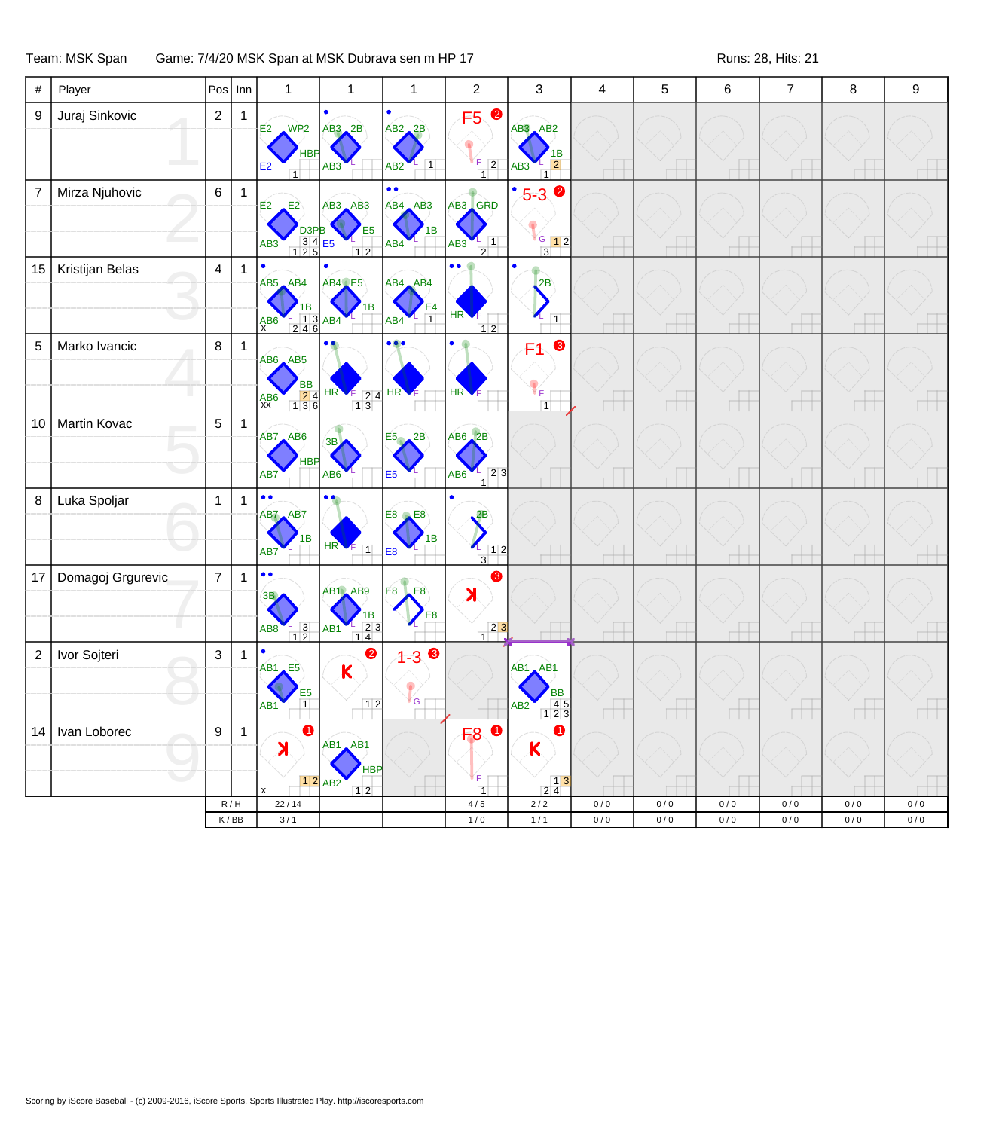Team: MSK Span Game: 7/4/20 MSK Span at MSK Dubrava sen m HP 17 Feam: MSK Span Buns: 28, Hits: 21

| #              | Player            |                | $Pos$ Inn                   | $\mathbf{1}$                                                                                                | $\mathbf{1}$                                                              | $\mathbf{1}$                                    | $\overline{c}$                                                      | 3                                                                                | $\overline{4}$           | 5                        | 6     | $\overline{7}$           | 8     | 9         |
|----------------|-------------------|----------------|-----------------------------|-------------------------------------------------------------------------------------------------------------|---------------------------------------------------------------------------|-------------------------------------------------|---------------------------------------------------------------------|----------------------------------------------------------------------------------|--------------------------|--------------------------|-------|--------------------------|-------|-----------|
| 9              | Juraj Sinkovic    | $\overline{c}$ | $\mathbf{1}$                | $E2$ WP2 $AB3$ 2B<br>E2<br>$\overline{1}$                                                                   | AB3                                                                       | $AB2$ <sub>2</sub> B<br>$\vert$ 1<br>AB2        | $\bullet$<br>F5<br>$F$ 2<br>$\overline{1}$                          | $AB3$ $AB2$<br>1B<br>$\vert$ 2<br>AB3<br>$\overline{1}$                          | $\overline{\phantom{a}}$ | $\overline{\phantom{a}}$ |       | $\overline{\phantom{a}}$ |       |           |
| $\overline{7}$ | Mirza Njuhovic    | 6              | $\mathbf{1}$                | $E^2$<br>E2<br>D <sub>3</sub> P <sub>B</sub><br>$\begin{array}{r} 34 \\ 125 \end{array}$<br>AB <sub>3</sub> | AB3 AB3<br>E <sub>5</sub><br>E <sub>5</sub><br>12                         | $\bullet$<br>AB4 AB3<br>1B<br>AB4               | AB3 GRD<br>$\frac{1}{2}$ 1<br>AB3                                   | $\bullet$<br>$5 - 3$<br>$\sqrt{G}$ 12<br>$3^{\circ}$                             |                          |                          |       |                          |       |           |
| 15             | Kristijan Belas   | $\overline{4}$ | 1                           | $\bullet$<br>$AB5$ $AB4$<br>$\frac{1}{2}$ $\frac{1}{4}$ $\frac{3}{6}$ AB4<br>$A$ B6                         | AB4 E5                                                                    | AB4 AB4<br>$\overline{1}$<br>$AB4$ <sup>L</sup> | HR <sup>'</sup><br>$12$                                             | 2B<br>$\mathcal{L}_{\vert 1\vert}$                                               | $\overline{\phantom{a}}$ | Æ                        |       | $\overline{\phantom{a}}$ |       |           |
| 5              | Marko Ivancic     | 8              | $\mathbf{1}$                | AB6 AB5<br><b>BB</b><br>$\begin{array}{r} 24 \\ 136 \end{array}$<br>$AB6$<br>$XX$                           | HR<br>$\begin{array}{ c c }\n\hline\n2 & 4 \\ \hline\n1 & 3\n\end{array}$ | HR                                              | HR                                                                  | ❸<br>F1.<br>ΥF.<br>$\overline{1}$                                                |                          |                          |       |                          |       |           |
| 10             | Martin Kovac      | 5              | $\mathbf{1}$                | AB7 AB6<br>HBP<br>AB7                                                                                       | 3B<br>AB6                                                                 | 2B<br>E5<br>E <sub>5</sub>                      | $AB6$ $2B$<br>$\begin{bmatrix} 2 & 3 \\ 1 & 2 \end{bmatrix}$<br>AB6 | H                                                                                | $\Box$                   | $\Box$                   |       | $\overline{\phantom{a}}$ |       |           |
| 8              | Luka Spoljar      | $\mathbf{1}$   | 1                           | $\bullet$<br>$\bullet$<br>AB7 AB7<br>1B<br>AB7                                                              | $HR \n\leftarrow$<br>$\overline{1}$                                       | E8<br>E8<br>1B<br>E <sub>8</sub>                | 2B<br>12<br>$\overline{3}$                                          |                                                                                  |                          |                          |       |                          |       |           |
| 17             | Domagoj Grgurevic | $\overline{7}$ | 1                           | $\bullet\bullet$<br>3B<br>$AB8$ <sup>1</sup> $3$ <sup>1</sup>                                               | AB1 AB9<br>$\begin{array}{c}\n 1B \\  1B \\  \hline\n 14\n \end{array}$   | E8<br><b>E8</b><br>E8                           | ❸<br>X<br>$\frac{23}{1}$                                            |                                                                                  |                          | $\Box$                   |       | $\overline{\phantom{a}}$ |       |           |
| $\overline{c}$ | Ivor Sojteri      | 3              | 1                           | $\bullet$<br>$AB1$ <sub><math>E5</math></sub><br>E5<br>$\vert$ 1<br>AB1                                     | 0<br>K                                                                    | $1 - 30$<br>ľ G                                 |                                                                     | $AB1$ $AB1$<br>ВB<br>$\begin{array}{c} 45 \\ 123 \end{array}$<br>AB <sub>2</sub> |                          |                          |       |                          |       |           |
| 14             | Ivan Loborec      | 9              | $\mathbf{1}$                | Х                                                                                                           | AB1 AB1<br>HBP<br>12 ABC                                                  |                                                 | F <sub>8</sub><br>F.                                                | 0<br>$\mathbf k$<br>$\begin{array}{c c} & 1 & 3 \\ 2 & 4 & \end{array}$          |                          |                          |       |                          |       |           |
|                |                   |                | R/H                         | 22/14                                                                                                       | 12                                                                        |                                                 | $\overline{1}$<br>4/5                                               | $2/2$                                                                            | 0/0                      | 0/0                      | 0/0   | 0/0                      | 0/0   | 0/0       |
|                |                   |                | $\mathsf K\,/\,\mathsf{BB}$ | $3/1$                                                                                                       |                                                                           |                                                 | $1/0$                                                               | $1/1$                                                                            | $0/0$                    | $0/0$                    | $0/0$ | $0/0$                    | $0/0$ | $0\,/\,0$ |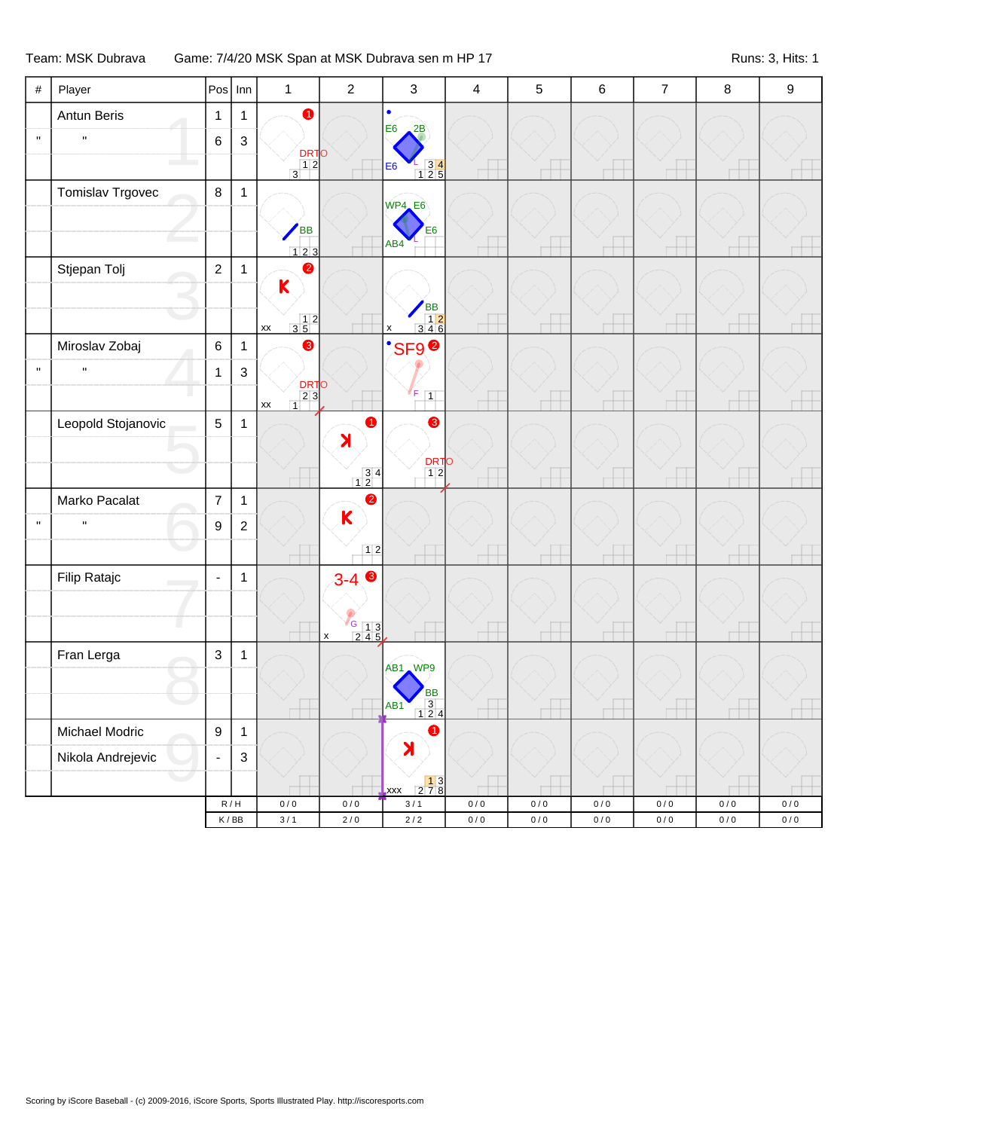## Team: MSK Dubrava Game: 7/4/20 MSK Span at MSK Dubrava sen m HP 17 Feam: MSK Dubras: 3, Hits: 1

| $\#$         | Player                       |                  | $Pos$ Inn                                                | $\mathbf{1}$                                                       | $\sqrt{2}$                                        | $\sqrt{3}$                                                                           | $\overline{\mathbf{4}}$ | 5                      | 6         | $\boldsymbol{7}$ | 8                  | $\boldsymbol{9}$   |
|--------------|------------------------------|------------------|----------------------------------------------------------|--------------------------------------------------------------------|---------------------------------------------------|--------------------------------------------------------------------------------------|-------------------------|------------------------|-----------|------------------|--------------------|--------------------|
|              | Antun Beris                  | $\mathbf{1}$     | $\mathbf{1}$                                             | $\bullet$                                                          |                                                   | $\bullet$                                                                            |                         |                        |           |                  |                    |                    |
| $\mathbf{u}$ | $\mathbf H$                  | 6                | $\ensuremath{\mathsf{3}}$                                |                                                                    |                                                   | E <sub>6</sub><br>2B                                                                 |                         |                        |           |                  |                    |                    |
|              |                              |                  |                                                          | DRTO<br>12<br>3                                                    |                                                   | $\begin{array}{r} 2 \overline{)34} \\ \overline{)125} \end{array}$<br>E <sub>6</sub> |                         |                        | J.        |                  |                    |                    |
|              | Tomislav Trgovec             | $\bf 8$          | $\mathbf{1}$                                             |                                                                    |                                                   |                                                                                      |                         |                        |           |                  |                    |                    |
|              |                              |                  |                                                          |                                                                    |                                                   | WP4_E6                                                                               |                         |                        |           |                  |                    |                    |
|              |                              |                  |                                                          | BB<br>$\begin{array}{ c c c c c }\n\hline\n1 & 2 & 3\n\end{array}$ |                                                   | E <sub>6</sub><br>AB4                                                                |                         |                        |           |                  |                    |                    |
|              | Stjepan Tolj                 | $\overline{2}$   | $\mathbf{1}$                                             | $\bullet$                                                          |                                                   |                                                                                      |                         |                        |           |                  |                    |                    |
|              |                              |                  |                                                          | $\mathsf{K}$                                                       |                                                   |                                                                                      |                         |                        |           |                  |                    |                    |
|              |                              |                  |                                                          | $\begin{array}{c c} & 1 & 2 \\ 3 & 5 & \end{array}$                |                                                   | $\begin{array}{r} \n\text{BB} \\ 12 \\ 346\n\end{array}$                             | щ                       | H                      | Щ.        | L                |                    |                    |
|              | Miroslav Zobaj               | $\,6$            | $\mathbf{1}$                                             | $\mathsf{xx}$<br>❸                                                 |                                                   | $\pmb{\mathsf{x}}$<br><b>SF9<sup>0</sup></b>                                         |                         |                        |           |                  |                    |                    |
| $\mathbf{H}$ | $\mathbf{H}$                 | $\mathbf{1}$     | $\mathsf 3$                                              |                                                                    |                                                   |                                                                                      |                         |                        |           |                  |                    |                    |
|              |                              |                  |                                                          | DRTO<br>23                                                         |                                                   | F<br>$\boxed{1}$                                                                     |                         |                        | J.        | L                |                    |                    |
|              | Leopold Stojanovic           | $\overline{5}$   | $\mathbf{1}$                                             | $\overline{1}$<br>XX                                               | $\bullet$                                         | $\bullet$                                                                            |                         |                        |           |                  |                    |                    |
|              |                              |                  |                                                          |                                                                    | $\blacktriangleright$                             |                                                                                      |                         |                        |           |                  |                    |                    |
|              |                              |                  |                                                          |                                                                    |                                                   | <b>DRTO</b><br>12                                                                    |                         |                        |           |                  |                    |                    |
|              |                              |                  |                                                          |                                                                    | $\begin{array}{c} 3 \ 4 \\ 1 \ 2 \end{array}$     |                                                                                      |                         | ц                      | щ         | L                |                    |                    |
| $\mathbf{H}$ | Marko Pacalat<br>$\mathbf H$ | $\overline{7}$   | $\mathbf{1}$                                             |                                                                    | $\bullet$<br>K                                    |                                                                                      |                         |                        |           |                  |                    |                    |
|              |                              | 9                | $\sqrt{2}$                                               |                                                                    |                                                   |                                                                                      |                         |                        |           |                  |                    |                    |
|              |                              |                  |                                                          |                                                                    | 12                                                |                                                                                      |                         |                        | J.        | J.               |                    |                    |
|              | Filip Ratajc                 | $\blacksquare$   | $\mathbf{1}$                                             |                                                                    | $3 - 4$                                           |                                                                                      |                         |                        |           |                  |                    |                    |
|              |                              |                  |                                                          |                                                                    |                                                   |                                                                                      |                         |                        |           |                  |                    |                    |
|              |                              |                  |                                                          |                                                                    | $\frac{6}{2}$ $\frac{1}{3}$<br>$\pmb{\mathsf{x}}$ |                                                                                      |                         | H                      | 4         | ł                |                    |                    |
|              | Fran Lerga                   | 3                | $\mathbf{1}$                                             |                                                                    |                                                   | AB1 WP9                                                                              |                         |                        |           |                  |                    |                    |
|              |                              |                  |                                                          |                                                                    |                                                   | <b>BB</b>                                                                            |                         |                        |           |                  |                    |                    |
|              |                              |                  |                                                          |                                                                    |                                                   | $\overline{3}$<br>AB <sub>1</sub><br><u>124</u>                                      |                         |                        |           |                  |                    |                    |
|              | Michael Modric               | $\boldsymbol{9}$ | $\mathbf{1}$                                             |                                                                    |                                                   | $\bullet$                                                                            |                         |                        |           |                  |                    |                    |
|              | Nikola Andrejevic            | ÷,               | $\ensuremath{\mathsf{3}}$                                |                                                                    |                                                   | X                                                                                    |                         |                        |           |                  |                    |                    |
|              |                              |                  |                                                          |                                                                    |                                                   | $\begin{array}{ c c }\n\hline\n2 & 7 & 8 \\ \hline\n\end{array}$<br><b>xxx</b>       |                         |                        |           |                  |                    |                    |
|              |                              |                  | $\mathsf R\,/\,\mathsf H$<br>$\mathsf K\,/\,\mathsf{BB}$ | $0/0$                                                              | $0/0$<br>$2\,/\,0$                                | 3/1<br>$2\,/\,2$                                                                     | $0/0$<br>$0/0$          | $0\,/\,0$<br>$0\,/\,0$ | $0\,/\,0$ | $0/0$<br>0/0     | $0/0$<br>$0\,/\,0$ | $0/0$<br>$0\,/\,0$ |